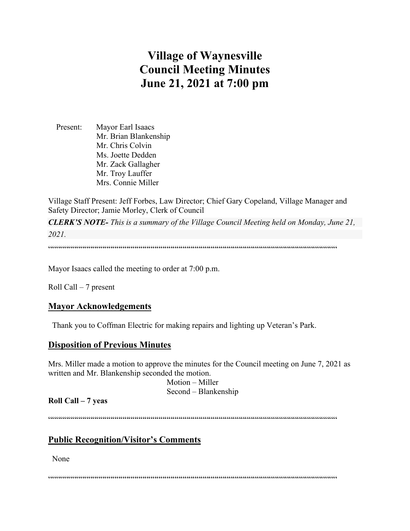# **Village of Waynesville Council Meeting Minutes June 21, 2021 at 7:00 pm**

 Present: Mayor Earl Isaacs Mr. Brian Blankenship Mr. Chris Colvin Ms. Joette Dedden Mr. Zack Gallagher Mr. Troy Lauffer Mrs. Connie Miller

Village Staff Present: Jeff Forbes, Law Director; Chief Gary Copeland, Village Manager and Safety Director; Jamie Morley, Clerk of Council

*CLERK'S NOTE- This is a summary of the Village Council Meeting held on Monday, June 21, 2021.* 

""""""""""""""""""""""""""""""""""""""""""""""""""""""""""""""""""""""""

Mayor Isaacs called the meeting to order at 7:00 p.m.

Roll Call – 7 present

#### **Mayor Acknowledgements**

Thank you to Coffman Electric for making repairs and lighting up Veteran's Park.

## **Disposition of Previous Minutes**

Mrs. Miller made a motion to approve the minutes for the Council meeting on June 7, 2021 as written and Mr. Blankenship seconded the motion.

> Motion – Miller Second – Blankenship

**Roll Call – 7 yeas**

""""""""""""""""""""""""""""""""""""""""""""""""""""""""""""""""""""""""

# **Public Recognition/Visitor's Comments**

None

 $\label{prop:main} \hspace{1.5cm} \hspace{1.5cm} \textcolor{blue}{\bullet} \hspace{1.5cm} \textcolor{blue}{\bullet} \hspace{1.5cm} \textcolor{blue}{\bullet} \hspace{1.5cm} \textcolor{blue}{\bullet} \hspace{1.5cm} \textcolor{blue}{\bullet} \hspace{1.5cm} \textcolor{blue}{\bullet} \hspace{1.5cm} \textcolor{blue}{\bullet} \hspace{1.5cm} \textcolor{blue}{\bullet} \hspace{1.5cm} \textcolor{blue}{\bullet} \hspace{1.5cm} \textcolor{blue}{\bullet} \hspace{1.5cm} \textcolor{blue}{\bullet} \hspace{1.$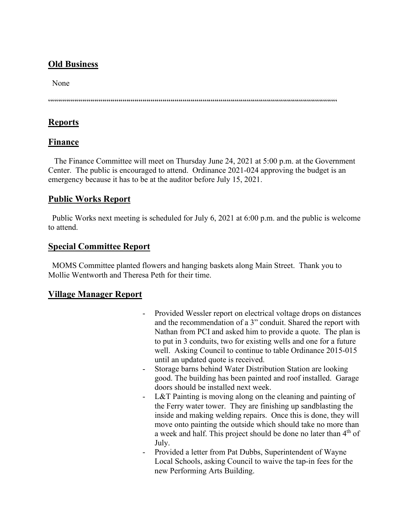# **Old Business**

None

 $\label{prop:main} \hspace{15pt} \hspace{15pt} \textcolor{black}{\textbf{if} \textbf{if} \textbf{if} \textbf{if} \textbf{if} \textbf{if} \textbf{if} \textbf{if} \textbf{if} \textbf{if} \textbf{if} \textbf{if} \textbf{if} \textbf{if} \textbf{if} \textbf{if} \textbf{if} \textbf{if} \textbf{if} \textbf{if} \textbf{if} \textbf{if} \textbf{if} \textbf{if} \textbf{if} \textbf{if} \textbf{if} \textbf{if} \textbf{if} \textbf{if} \textbf{if} \textbf{if$ 

# **Reports**

# **Finance**

 The Finance Committee will meet on Thursday June 24, 2021 at 5:00 p.m. at the Government Center. The public is encouraged to attend. Ordinance 2021-024 approving the budget is an emergency because it has to be at the auditor before July 15, 2021.

# **Public Works Report**

 Public Works next meeting is scheduled for July 6, 2021 at 6:00 p.m. and the public is welcome to attend.

# **Special Committee Report**

 MOMS Committee planted flowers and hanging baskets along Main Street. Thank you to Mollie Wentworth and Theresa Peth for their time.

# **Village Manager Report**

- Provided Wessler report on electrical voltage drops on distances and the recommendation of a 3" conduit. Shared the report with Nathan from PCI and asked him to provide a quote. The plan is to put in 3 conduits, two for existing wells and one for a future well. Asking Council to continue to table Ordinance 2015-015 until an updated quote is received.
- Storage barns behind Water Distribution Station are looking good. The building has been painted and roof installed. Garage doors should be installed next week.
- L&T Painting is moving along on the cleaning and painting of the Ferry water tower. They are finishing up sandblasting the inside and making welding repairs. Once this is done, they will move onto painting the outside which should take no more than a week and half. This project should be done no later than  $4<sup>th</sup>$  of July.
- Provided a letter from Pat Dubbs, Superintendent of Wayne Local Schools, asking Council to waive the tap-in fees for the new Performing Arts Building.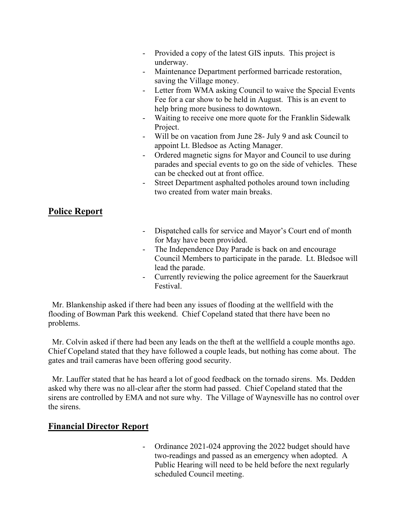- Provided a copy of the latest GIS inputs. This project is underway.
- Maintenance Department performed barricade restoration, saving the Village money.
- Letter from WMA asking Council to waive the Special Events Fee for a car show to be held in August. This is an event to help bring more business to downtown.
- Waiting to receive one more quote for the Franklin Sidewalk Project.
- Will be on vacation from June 28- July 9 and ask Council to appoint Lt. Bledsoe as Acting Manager.
- Ordered magnetic signs for Mayor and Council to use during parades and special events to go on the side of vehicles. These can be checked out at front office.
- Street Department asphalted potholes around town including two created from water main breaks.

# **Police Report**

- Dispatched calls for service and Mayor's Court end of month for May have been provided.
- The Independence Day Parade is back on and encourage Council Members to participate in the parade. Lt. Bledsoe will lead the parade.
- Currently reviewing the police agreement for the Sauerkraut Festival.

 Mr. Blankenship asked if there had been any issues of flooding at the wellfield with the flooding of Bowman Park this weekend. Chief Copeland stated that there have been no problems.

 Mr. Colvin asked if there had been any leads on the theft at the wellfield a couple months ago. Chief Copeland stated that they have followed a couple leads, but nothing has come about. The gates and trail cameras have been offering good security.

 Mr. Lauffer stated that he has heard a lot of good feedback on the tornado sirens. Ms. Dedden asked why there was no all-clear after the storm had passed. Chief Copeland stated that the sirens are controlled by EMA and not sure why. The Village of Waynesville has no control over the sirens.

# **Financial Director Report**

- Ordinance 2021-024 approving the 2022 budget should have two-readings and passed as an emergency when adopted. A Public Hearing will need to be held before the next regularly scheduled Council meeting.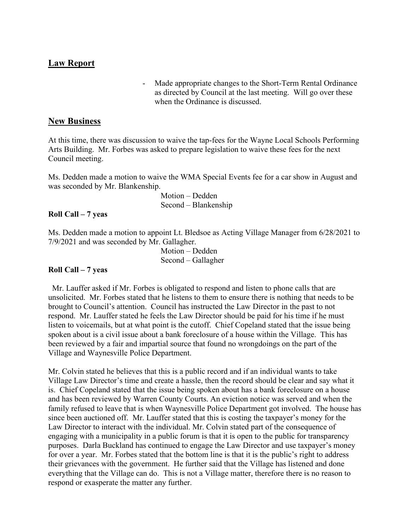# **Law Report**

- Made appropriate changes to the Short-Term Rental Ordinance as directed by Council at the last meeting. Will go over these when the Ordinance is discussed.

#### **New Business**

At this time, there was discussion to waive the tap-fees for the Wayne Local Schools Performing Arts Building. Mr. Forbes was asked to prepare legislation to waive these fees for the next Council meeting.

Ms. Dedden made a motion to waive the WMA Special Events fee for a car show in August and was seconded by Mr. Blankenship.

> Motion – Dedden Second – Blankenship

#### **Roll Call – 7 yeas**

Ms. Dedden made a motion to appoint Lt. Bledsoe as Acting Village Manager from 6/28/2021 to 7/9/2021 and was seconded by Mr. Gallagher.

 Motion – Dedden Second – Gallagher

#### **Roll Call – 7 yeas**

 Mr. Lauffer asked if Mr. Forbes is obligated to respond and listen to phone calls that are unsolicited. Mr. Forbes stated that he listens to them to ensure there is nothing that needs to be brought to Council's attention. Council has instructed the Law Director in the past to not respond. Mr. Lauffer stated he feels the Law Director should be paid for his time if he must listen to voicemails, but at what point is the cutoff. Chief Copeland stated that the issue being spoken about is a civil issue about a bank foreclosure of a house within the Village. This has been reviewed by a fair and impartial source that found no wrongdoings on the part of the Village and Waynesville Police Department.

Mr. Colvin stated he believes that this is a public record and if an individual wants to take Village Law Director's time and create a hassle, then the record should be clear and say what it is. Chief Copeland stated that the issue being spoken about has a bank foreclosure on a house and has been reviewed by Warren County Courts. An eviction notice was served and when the family refused to leave that is when Waynesville Police Department got involved. The house has since been auctioned off. Mr. Lauffer stated that this is costing the taxpayer's money for the Law Director to interact with the individual. Mr. Colvin stated part of the consequence of engaging with a municipality in a public forum is that it is open to the public for transparency purposes. Darla Buckland has continued to engage the Law Director and use taxpayer's money for over a year. Mr. Forbes stated that the bottom line is that it is the public's right to address their grievances with the government. He further said that the Village has listened and done everything that the Village can do. This is not a Village matter, therefore there is no reason to respond or exasperate the matter any further.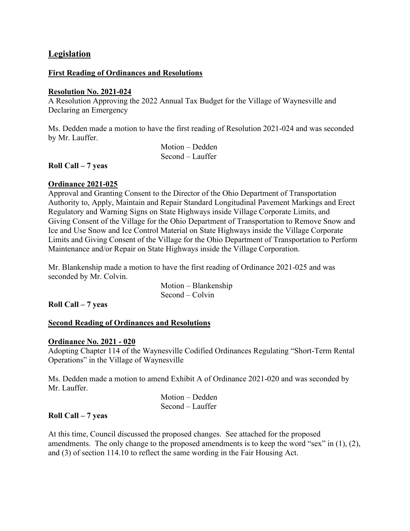## **Legislation**

#### **First Reading of Ordinances and Resolutions**

#### **Resolution No. 2021-024**

A Resolution Approving the 2022 Annual Tax Budget for the Village of Waynesville and Declaring an Emergency

Ms. Dedden made a motion to have the first reading of Resolution 2021-024 and was seconded by Mr. Lauffer.

> Motion – Dedden Second – Lauffer

**Roll Call – 7 yeas**

#### **Ordinance 2021-025**

Approval and Granting Consent to the Director of the Ohio Department of Transportation Authority to, Apply, Maintain and Repair Standard Longitudinal Pavement Markings and Erect Regulatory and Warning Signs on State Highways inside Village Corporate Limits, and Giving Consent of the Village for the Ohio Department of Transportation to Remove Snow and Ice and Use Snow and Ice Control Material on State Highways inside the Village Corporate Limits and Giving Consent of the Village for the Ohio Department of Transportation to Perform Maintenance and/or Repair on State Highways inside the Village Corporation.

Mr. Blankenship made a motion to have the first reading of Ordinance 2021-025 and was seconded by Mr. Colvin.

> Motion – Blankenship Second – Colvin

**Roll Call – 7 yeas**

#### **Second Reading of Ordinances and Resolutions**

#### **Ordinance No. 2021 - 020**

Adopting Chapter 114 of the Waynesville Codified Ordinances Regulating "Short-Term Rental Operations" in the Village of Waynesville

Ms. Dedden made a motion to amend Exhibit A of Ordinance 2021-020 and was seconded by Mr. Lauffer.

 Motion – Dedden Second – Lauffer

#### **Roll Call – 7 yeas**

At this time, Council discussed the proposed changes. See attached for the proposed amendments. The only change to the proposed amendments is to keep the word "sex" in (1), (2), and (3) of section 114.10 to reflect the same wording in the Fair Housing Act.